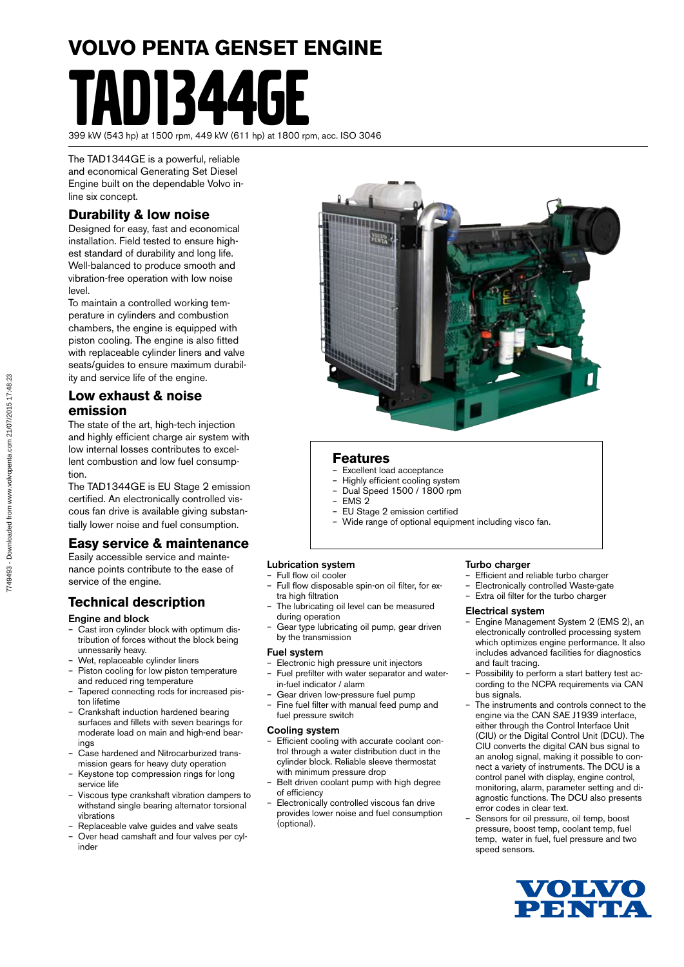# **VOLVO PENTA GENSET ENGINE** TAD1344GE

399 kW (543 hp) at 1500 rpm, 449 kW (611 hp) at 1800 rpm, acc. ISO 3046

The TAD1344GE is a powerful, reliable and economical Generating Set Diesel Engine built on the dependable Volvo inline six concept.

#### **Durability & low noise**

Designed for easy, fast and economical installation. Field tested to ensure highest standard of durability and long life. Well-balanced to produce smooth and vibration-free operation with low noise level.

To maintain a controlled working temperature in cylinders and combustion chambers, the engine is equipped with piston cooling. The engine is also fitted with replaceable cylinder liners and valve seats/guides to ensure maximum durability and service life of the engine.

#### **Low exhaust & noise emission**

The state of the art, high-tech injection and highly efficient charge air system with low internal losses contributes to excellent combustion and low fuel consumption.

The TAD1344GE is EU Stage 2 emission certified. An electronically controlled viscous fan drive is available giving substantially lower noise and fuel consumption.

#### **Easy service & maintenance**

Easily accessible service and maintenance points contribute to the ease of service of the engine.

#### **Technical description**

#### Engine and block

- Cast iron cylinder block with optimum distribution of forces without the block being unnessarily heavy.
- Wet, replaceable cylinder liners
- Piston cooling for low piston temperature and reduced ring temperature
- Tapered connecting rods for increased piston lifetime
- Crankshaft induction hardened bearing surfaces and fillets with seven bearings for moderate load on main and high-end bearings
- Case hardened and Nitrocarburized transmission gears for heavy duty operation
- Keystone top compression rings for long service life
- Viscous type crankshaft vibration dampers to withstand single bearing alternator torsional vibrations
- Replaceable valve guides and valve seats
- Over head camshaft and four valves per cylinder



#### **Features**

- Excellent load acceptance
- Highly efficient cooling system
- Dual Speed 1500 / 1800 rpm – EMS 2
- EU Stage 2 emission certified
- Wide range of optional equipment including visco fan.

#### Lubrication system

- Full flow oil cooler
- Full flow disposable spin-on oil filter, for extra high filtration
- The lubricating oil level can be measured during operation
- Gear type lubricating oil pump, gear driven by the transmission

#### Fuel system

- Electronic high pressure unit injectors – Fuel prefilter with water separator and water
	- in-fuel indicator / alarm
- Gear driven low-pressure fuel pump
- Fine fuel filter with manual feed pump and fuel pressure switch

#### Cooling system

- Efficient cooling with accurate coolant control through a water distribution duct in the cylinder block. Reliable sleeve thermostat with minimum pressure drop
- Belt driven coolant pump with high degree of efficiency
- Electronically controlled viscous fan drive provides lower noise and fuel consumption (optional).

#### Turbo charger

- Efficient and reliable turbo charger
- Electronically controlled Waste-gate
- Extra oil filter for the turbo charger

#### Electrical system

- Engine Management System 2 (EMS 2), an electronically controlled processing system which optimizes engine performance. It also includes advanced facilities for diagnostics and fault tracing.
- Possibility to perform a start battery test according to the NCPA requirements via CAN bus signals.
- The instruments and controls connect to the engine via the CAN SAE J1939 interface, either through the Control Interface Unit (CIU) or the Digital Control Unit (DCU). The CIU converts the digital CAN bus signal to an anolog signal, making it possible to connect a variety of instruments. The DCU is a control panel with display, engine control, monitoring, alarm, parameter setting and diagnostic functions. The DCU also presents error codes in clear text.
- Sensors for oil pressure, oil temp, boost pressure, boost temp, coolant temp, fuel temp, water in fuel, fuel pressure and two speed sensors.